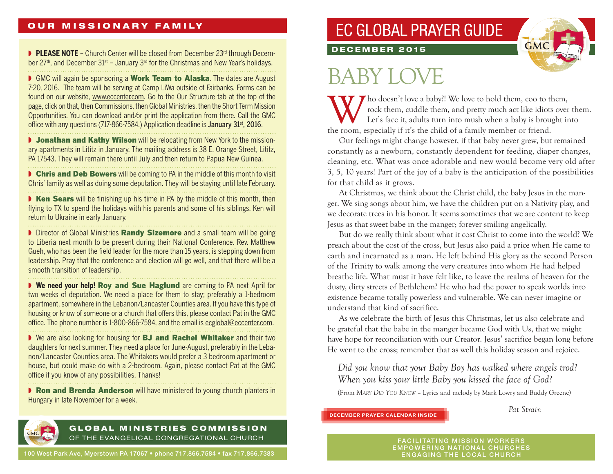#### **OUR MISSIONARY FAMILY**

**▶ PLEASE NOTE** – Church Center will be closed from December 23<sup>rd</sup> through December 27<sup>th</sup>, and December 31<sup>st</sup> – January 3<sup>rd</sup> for the Christmas and New Year's holidays.

■ GMC will again be sponsoring a Work Team to Alaska. The dates are August 7-20, 2016. The team will be serving at Camp LiWa outside of Fairbanks. Forms can be found on our website, www.eccenter.com. Go to the Our Structure tab at the top of the page, click on that, then Commissions, then Global Ministries, then the Short Term Mission Opportunities. You can download and/or print the application from there. Call the GMC office with any questions (717-866-7584.) Application deadline is January 31<sup>st</sup>, 2016.

**• Jonathan and Kathy Wilson** will be relocating from New York to the missionary apartments in Lititz in January. The mailing address is 38 E. Orange Street, Lititz, PA 17543. They will remain there until July and then return to Papua New Guinea.

■ Chris and Deb Bowers will be coming to PA in the middle of this month to visit Chris' family as well as doing some deputation. They will be staying until late February.

■ Ken Sears will be finishing up his time in PA by the middle of this month, then flying to TX to spend the holidays with his parents and some of his siblings. Ken will return to Ukraine in early January. 

▶ Director of Global Ministries Randy Sizemore and a small team will be going to Liberia next month to be present during their National Conference. Rev. Matthew Gueh, who has been the field leader for the more than 15 years, is stepping down from leadership. Pray that the conference and election will go well, and that there will be a smooth transition of leadership.

■ **We need your help! Roy and Sue Haglund** are coming to PA next April for two weeks of deputation. We need a place for them to stay; preferably a 1-bedroom apartment, somewhere in the Lebanon/Lancaster Counties area. If you have this type of housing or know of someone or a church that offers this, please contact Pat in the GMC office. The phone number is 1-800-866-7584, and the email is ecglobal@eccenter.com.

■ We are also looking for housing for **BJ and Rachel Whitaker** and their two daughters for next summer. They need a place for June-August, preferably in the Lebanon/Lancaster Counties area. The Whitakers would prefer a 3 bedroom apartment or house, but could make do with a 2-bedroom. Again, please contact Pat at the GMC office if you know of any possibilities. Thanks!

▶ Ron and Brenda Anderson will have ministered to young church planters in Hungary in late November for a week.

## EC GLOBAL PRAYER GUIDE



### DECEMBER 2015

# BABY LOVE

Who doesn't love a baby?! We love to hold them, coo to them,<br>rock them, cuddle them, and pretty much act like idiots over<br>Let's face it, adults turn into mush when a baby is brought in<br>the room, especially if it's the chil rock them, cuddle them, and pretty much act like idiots over them. Let's face it, adults turn into mush when a baby is brought into the room, especially if it's the child of a family member or friend.

Our feelings might change however, if that baby never grew, but remained constantly as a newborn, constantly dependent for feeding, diaper changes, cleaning, etc. What was once adorable and new would become very old after 3, 5, 10 years! Part of the joy of a baby is the anticipation of the possibilities for that child as it grows.

At Christmas, we think about the Christ child, the baby Jesus in the manger. We sing songs about him, we have the children put on a Nativity play, and we decorate trees in his honor. It seems sometimes that we are content to keep Jesus as that sweet babe in the manger; forever smiling angelically.

But do we really think about what it cost Christ to come into the world? We preach about the cost of the cross, but Jesus also paid a price when He came to earth and incarnated as a man. He left behind His glory as the second Person of the Trinity to walk among the very creatures into whom He had helped breathe life. What must it have felt like, to leave the realms of heaven for the dusty, dirty streets of Bethlehem? He who had the power to speak worlds into existence became totally powerless and vulnerable. We can never imagine or understand that kind of sacrifice.

As we celebrate the birth of Jesus this Christmas, let us also celebrate and be grateful that the babe in the manger became God with Us, that we might have hope for reconciliation with our Creator. Jesus' sacrifice began long before He went to the cross; remember that as well this holiday season and rejoice.

*Did you know that your Baby Boy has walked where angels trod? When you kiss your little Baby you kissed the face of God?*  (From *Mary Did You Know* – Lyrics and melody by Mark Lowry and Buddy Greene)

**DECEMBER PRAYER CALENDAR INSIDE**

*Pat Strain*



#### GLOBAL MINISTRIES COMMISSION OF THE EVANGELICAL CONGREGATIONAL CHURCH

100 West Park Ave, Myerstown PA 17067 • phone 717.866.7584 • fax 717.866.7383

FACILITATING MISSION WORKERS EMPOWERING NATIONAL CHURCHES ENGAGING THE LOCAL CHURCH